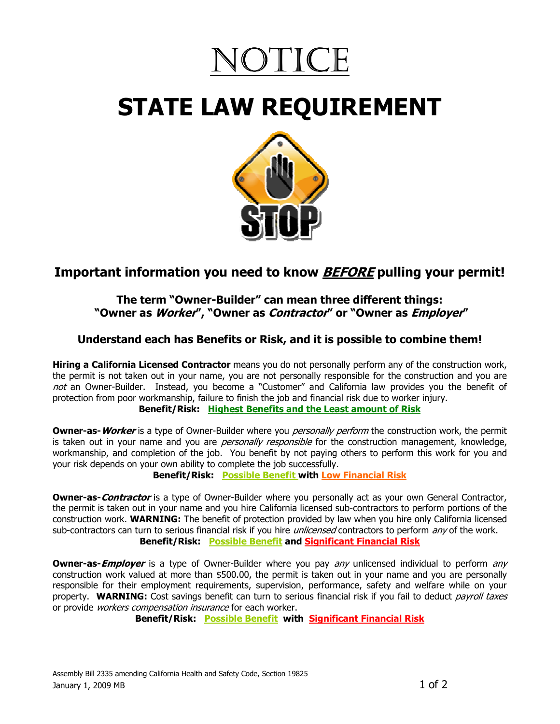

# STATE LAW REQUIREMENT



# Important information you need to know **BEFORE** pulling your permit!

#### The term "Owner-Builder" can mean three different things: "Owner as *Worker"*, "Owner as *Contractor"* or "Owner as *Employer"*

## Understand each has Benefits or Risk, and it is possible to combine them!

**Hiring a California Licensed Contractor** means you do not personally perform any of the construction work, the permit is not taken out in your name, you are not personally responsible for the construction and you are not an Owner-Builder. Instead, you become a "Customer" and California law provides you the benefit of protection from poor workmanship, failure to finish the job and financial risk due to worker injury. Benefit/Risk: Highest Benefits and the Least amount of Risk

**Owner-as- Worker** is a type of Owner-Builder where you *personally perform* the construction work, the permit is taken out in your name and you are *personally responsible* for the construction management, knowledge, workmanship, and completion of the job. You benefit by not paying others to perform this work for you and your risk depends on your own ability to complete the job successfully.

Benefit/Risk: Possible Benefit with Low Financial Risk

**Owner-as-Contractor** is a type of Owner-Builder where you personally act as your own General Contractor, the permit is taken out in your name and you hire California licensed sub-contractors to perform portions of the construction work. **WARNING:** The benefit of protection provided by law when you hire only California licensed sub-contractors can turn to serious financial risk if you hire *unlicensed* contractors to perform any of the work. Benefit/Risk: Possible Benefit and Significant Financial Risk

**Owner-as-Employer** is a type of Owner-Builder where you pay *any* unlicensed individual to perform *any* construction work valued at more than \$500.00, the permit is taken out in your name and you are personally responsible for their employment requirements, supervision, performance, safety and welfare while on your property. WARNING: Cost savings benefit can turn to serious financial risk if you fail to deduct payroll taxes or provide *workers compensation insurance* for each worker.

Benefit/Risk: Possible Benefit with Significant Financial Risk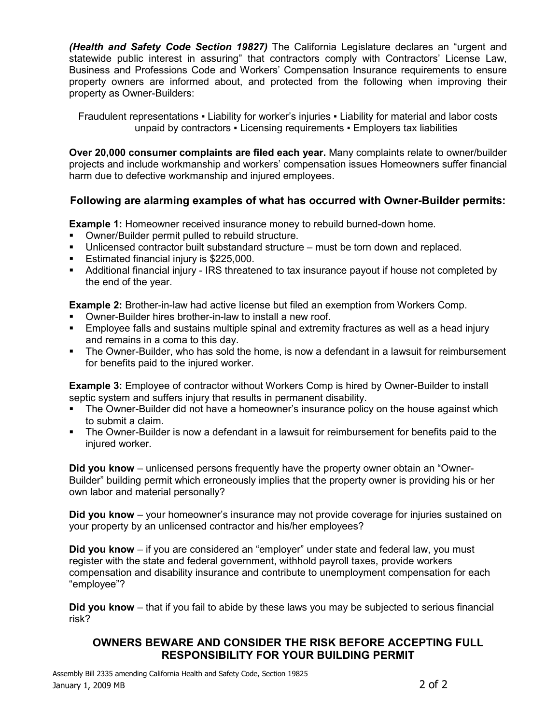(Health and Safety Code Section 19827) The California Legislature declares an "urgent and statewide public interest in assuring" that contractors comply with Contractors' License Law, Business and Professions Code and Workers' Compensation Insurance requirements to ensure property owners are informed about, and protected from the following when improving their property as Owner-Builders:

Fraudulent representations ▪ Liability for worker's injuries ▪ Liability for material and labor costs unpaid by contractors ▪ Licensing requirements ▪ Employers tax liabilities

Over 20,000 consumer complaints are filed each year. Many complaints relate to owner/builder projects and include workmanship and workers' compensation issues Homeowners suffer financial harm due to defective workmanship and injured employees.

### Following are alarming examples of what has occurred with Owner-Builder permits:

**Example 1:** Homeowner received insurance money to rebuild burned-down home.

- Owner/Builder permit pulled to rebuild structure.
- Unlicensed contractor built substandard structure must be torn down and replaced.
- **Estimated financial injury is \$225,000.**
- Additional financial injury IRS threatened to tax insurance payout if house not completed by the end of the year.

Example 2: Brother-in-law had active license but filed an exemption from Workers Comp.

- Owner-Builder hires brother-in-law to install a new roof.
- Employee falls and sustains multiple spinal and extremity fractures as well as a head injury and remains in a coma to this day.
- The Owner-Builder, who has sold the home, is now a defendant in a lawsuit for reimbursement for benefits paid to the injured worker.

Example 3: Employee of contractor without Workers Comp is hired by Owner-Builder to install septic system and suffers injury that results in permanent disability.

- The Owner-Builder did not have a homeowner's insurance policy on the house against which to submit a claim.
- The Owner-Builder is now a defendant in a lawsuit for reimbursement for benefits paid to the injured worker.

Did you know – unlicensed persons frequently have the property owner obtain an "Owner-Builder" building permit which erroneously implies that the property owner is providing his or her own labor and material personally?

Did you know – your homeowner's insurance may not provide coverage for injuries sustained on your property by an unlicensed contractor and his/her employees?

Did you know – if you are considered an "employer" under state and federal law, you must register with the state and federal government, withhold payroll taxes, provide workers compensation and disability insurance and contribute to unemployment compensation for each "employee"?

Did you know – that if you fail to abide by these laws you may be subjected to serious financial risk?

### OWNERS BEWARE AND CONSIDER THE RISK BEFORE ACCEPTING FULL RESPONSIBILITY FOR YOUR BUILDING PERMIT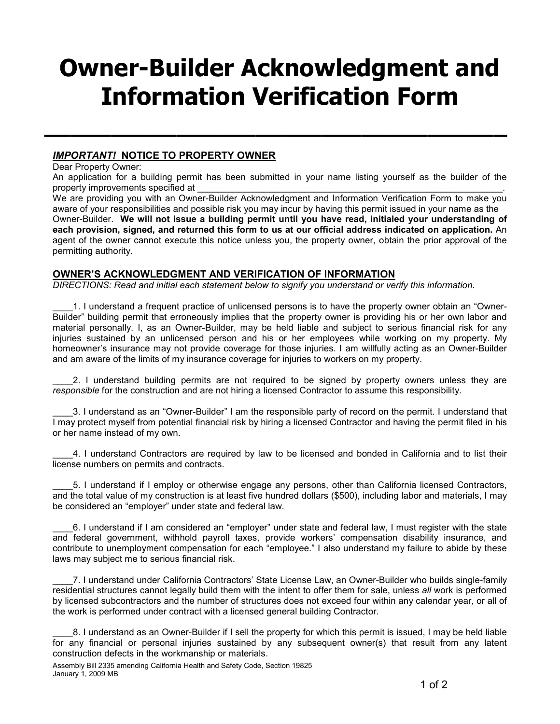# Owner-Builder Acknowledgment and Information Verification Form

 $\mathcal{L}_\text{max}$  , and the contract of the contract of the contract of the contract of the contract of the contract of the contract of the contract of the contract of the contract of the contract of the contract of the contr

#### IMPORTANT! NOTICE TO PROPERTY OWNER

Dear Property Owner:

An application for a building permit has been submitted in your name listing yourself as the builder of the property improvements specified at

We are providing you with an Owner-Builder Acknowledgment and Information Verification Form to make you aware of your responsibilities and possible risk you may incur by having this permit issued in your name as the Owner-Builder. We will not issue a building permit until you have read, initialed your understanding of each provision, signed, and returned this form to us at our official address indicated on application. An agent of the owner cannot execute this notice unless you, the property owner, obtain the prior approval of the permitting authority.

#### OWNER'S ACKNOWLEDGMENT AND VERIFICATION OF INFORMATION

DIRECTIONS: Read and initial each statement below to signify you understand or verify this information.

\_\_\_\_1. I understand a frequent practice of unlicensed persons is to have the property owner obtain an "Owner-Builder" building permit that erroneously implies that the property owner is providing his or her own labor and material personally. I, as an Owner-Builder, may be held liable and subject to serious financial risk for any injuries sustained by an unlicensed person and his or her employees while working on my property. My homeowner's insurance may not provide coverage for those injuries. I am willfully acting as an Owner-Builder and am aware of the limits of my insurance coverage for injuries to workers on my property.

2. I understand building permits are not required to be signed by property owners unless they are responsible for the construction and are not hiring a licensed Contractor to assume this responsibility.

\_\_\_\_3. I understand as an "Owner-Builder" I am the responsible party of record on the permit. I understand that I may protect myself from potential financial risk by hiring a licensed Contractor and having the permit filed in his or her name instead of my own.

\_\_\_\_4. I understand Contractors are required by law to be licensed and bonded in California and to list their license numbers on permits and contracts.

\_\_\_\_5. I understand if I employ or otherwise engage any persons, other than California licensed Contractors, and the total value of my construction is at least five hundred dollars (\$500), including labor and materials, I may be considered an "employer" under state and federal law.

\_\_\_\_6. I understand if I am considered an "employer" under state and federal law, I must register with the state and federal government, withhold payroll taxes, provide workers' compensation disability insurance, and contribute to unemployment compensation for each "employee." I also understand my failure to abide by these laws may subject me to serious financial risk.

\_\_\_\_7. I understand under California Contractors' State License Law, an Owner-Builder who builds single-family residential structures cannot legally build them with the intent to offer them for sale, unless all work is performed by licensed subcontractors and the number of structures does not exceed four within any calendar year, or all of the work is performed under contract with a licensed general building Contractor.

\_\_\_\_8. I understand as an Owner-Builder if I sell the property for which this permit is issued, I may be held liable for any financial or personal injuries sustained by any subsequent owner(s) that result from any latent construction defects in the workmanship or materials.

Assembly Bill 2335 amending California Health and Safety Code, Section 19825 January 1, 2009 MB